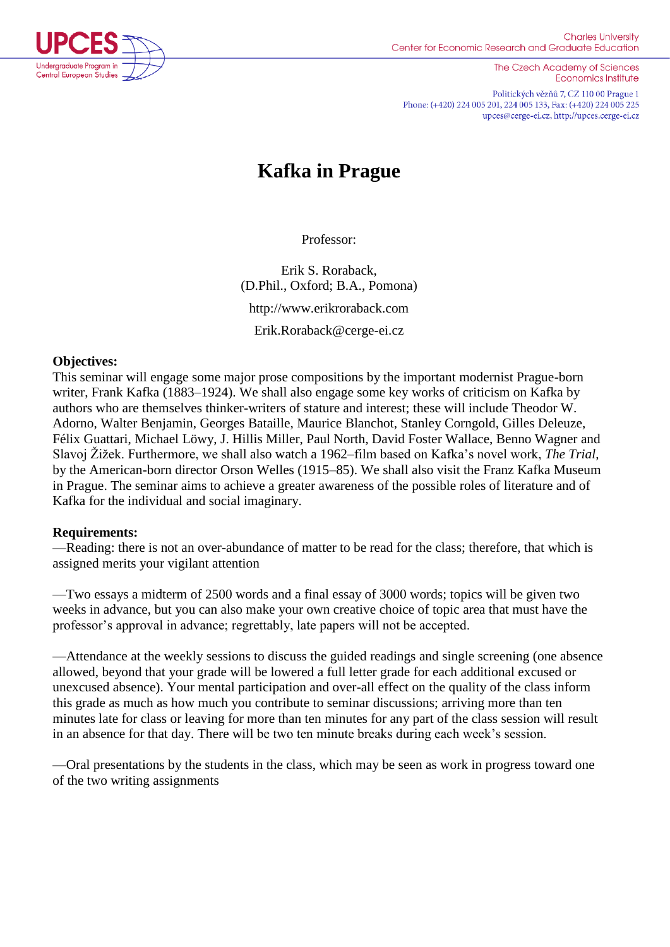

The Czech Academy of Sciences **Economics Institute** 

Politických vězňů 7, CZ 110 00 Prague 1 Phone: (+420) 224 005 201, 224 005 133, Fax: (+420) 224 005 225 upces@cerge-ei.cz, http://upces.cerge-ei.cz

# **Kafka in Prague**

Professor:

Erik S. Roraback, (D.Phil., Oxford; B.A., Pomona) http://www.erikroraback.com Erik.Roraback@cerge-ei.cz

#### **Objectives:**

This seminar will engage some major prose compositions by the important modernist Prague-born writer, Frank Kafka (1883–1924). We shall also engage some key works of criticism on Kafka by authors who are themselves thinker-writers of stature and interest; these will include Theodor W. Adorno, Walter Benjamin, Georges Bataille, Maurice Blanchot, Stanley Corngold, Gilles Deleuze, Félix Guattari, Michael Löwy, J. Hillis Miller, Paul North, David Foster Wallace, Benno Wagner and Slavoj Žižek. Furthermore, we shall also watch a 1962–film based on Kafka's novel work, *The Trial*, by the American-born director Orson Welles (1915–85). We shall also visit the Franz Kafka Museum in Prague. The seminar aims to achieve a greater awareness of the possible roles of literature and of Kafka for the individual and social imaginary.

# **Requirements:**

—Reading: there is not an over-abundance of matter to be read for the class; therefore, that which is assigned merits your vigilant attention

—Two essays a midterm of 2500 words and a final essay of 3000 words; topics will be given two weeks in advance, but you can also make your own creative choice of topic area that must have the professor's approval in advance; regrettably, late papers will not be accepted.

—Attendance at the weekly sessions to discuss the guided readings and single screening (one absence allowed, beyond that your grade will be lowered a full letter grade for each additional excused or unexcused absence). Your mental participation and over-all effect on the quality of the class inform this grade as much as how much you contribute to seminar discussions; arriving more than ten minutes late for class or leaving for more than ten minutes for any part of the class session will result in an absence for that day. There will be two ten minute breaks during each week's session.

—Oral presentations by the students in the class, which may be seen as work in progress toward one of the two writing assignments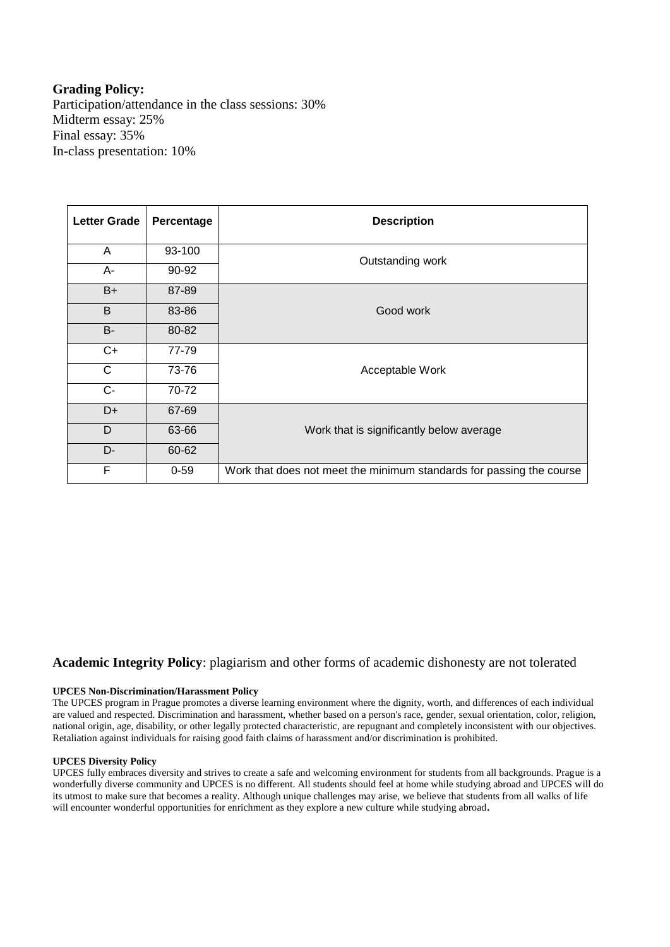#### **Grading Policy:**

Participation/attendance in the class sessions: 30% Midterm essay: 25% Final essay: 35% In-class presentation: 10%

| <b>Letter Grade</b> | Percentage | <b>Description</b>                                                   |
|---------------------|------------|----------------------------------------------------------------------|
| A                   | 93-100     | Outstanding work                                                     |
| A-                  | 90-92      |                                                                      |
| $B+$                | 87-89      | Good work                                                            |
| B                   | 83-86      |                                                                      |
| <b>B-</b>           | 80-82      |                                                                      |
| $C+$                | 77-79      | Acceptable Work                                                      |
| C                   | 73-76      |                                                                      |
| $C -$               | 70-72      |                                                                      |
| D+                  | 67-69      |                                                                      |
| D                   | 63-66      | Work that is significantly below average                             |
| D-                  | 60-62      |                                                                      |
| F                   | $0 - 59$   | Work that does not meet the minimum standards for passing the course |

#### **Academic Integrity Policy**: plagiarism and other forms of academic dishonesty are not tolerated

#### **UPCES Non-Discrimination/Harassment Policy**

The UPCES program in Prague promotes a diverse learning environment where the dignity, worth, and differences of each individual are valued and respected. Discrimination and harassment, whether based on a person's race, gender, sexual orientation, color, religion, national origin, age, disability, or other legally protected characteristic, are repugnant and completely inconsistent with our objectives. Retaliation against individuals for raising good faith claims of harassment and/or discrimination is prohibited.

#### **UPCES Diversity Policy**

UPCES fully embraces diversity and strives to create a safe and welcoming environment for students from all backgrounds. Prague is a wonderfully diverse community and UPCES is no different. All students should feel at home while studying abroad and UPCES will do its utmost to make sure that becomes a reality. Although unique challenges may arise, we believe that students from all walks of life will encounter wonderful opportunities for enrichment as they explore a new culture while studying abroad**.**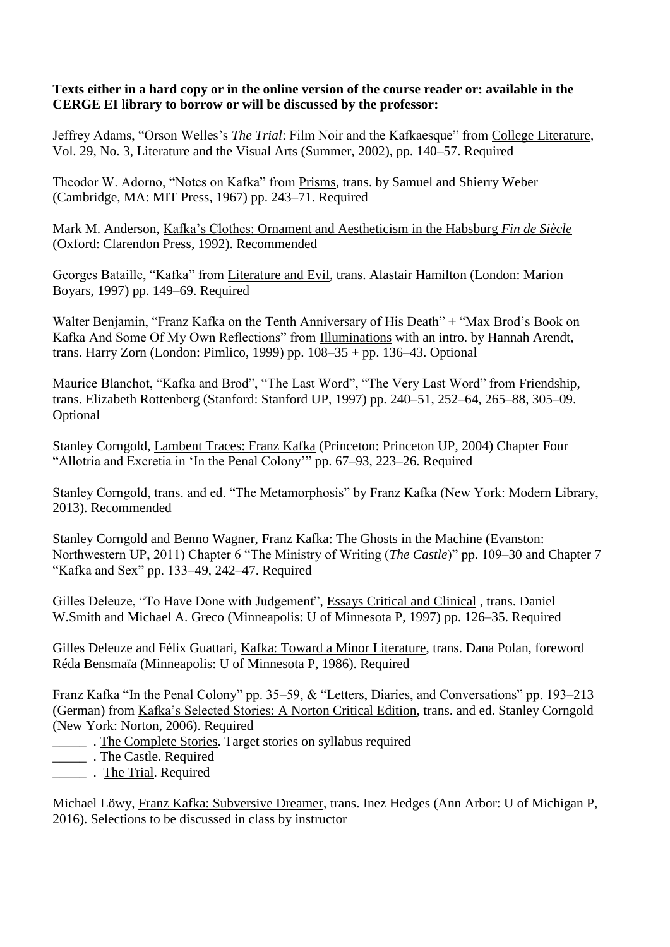#### **Texts either in a hard copy or in the online version of the course reader or: available in the CERGE EI library to borrow or will be discussed by the professor:**

Jeffrey Adams, "Orson Welles's *The Trial*: Film Noir and the Kafkaesque" from College Literature, Vol. 29, No. 3, Literature and the Visual Arts (Summer, 2002), pp. 140–57. Required

Theodor W. Adorno, "Notes on Kafka" from Prisms, trans. by Samuel and Shierry Weber (Cambridge, MA: MIT Press, 1967) pp. 243–71. Required

Mark M. Anderson, Kafka's Clothes: Ornament and Aestheticism in the Habsburg *Fin de Siècle* (Oxford: Clarendon Press, 1992). Recommended

Georges Bataille, "Kafka" from Literature and Evil, trans. Alastair Hamilton (London: Marion Boyars, 1997) pp. 149–69. Required

Walter Benjamin, "Franz Kafka on the Tenth Anniversary of His Death" + "Max Brod's Book on Kafka And Some Of My Own Reflections" from Illuminations with an intro. by Hannah Arendt, trans. Harry Zorn (London: Pimlico, 1999) pp.  $108-35 +$  pp. 136-43. Optional

Maurice Blanchot, "Kafka and Brod", "The Last Word", "The Very Last Word" from Friendship, trans. Elizabeth Rottenberg (Stanford: Stanford UP, 1997) pp. 240–51, 252–64, 265–88, 305–09. Optional

Stanley Corngold, Lambent Traces: Franz Kafka (Princeton: Princeton UP, 2004) Chapter Four "Allotria and Excretia in 'In the Penal Colony'" pp. 67–93, 223–26. Required

Stanley Corngold, trans. and ed. "The Metamorphosis" by Franz Kafka (New York: Modern Library, 2013). Recommended

Stanley Corngold and Benno Wagner, Franz Kafka: The Ghosts in the Machine (Evanston: Northwestern UP, 2011) Chapter 6 "The Ministry of Writing (*The Castle*)" pp. 109–30 and Chapter 7 "Kafka and Sex" pp. 133–49, 242–47. Required

Gilles Deleuze, "To Have Done with Judgement", [Essays Critical and Clinical](http://iweb.cerge-ei.cz:81/upces_data/KafkaInPrague/Essays.pdf) *,* trans. Daniel W.Smith and Michael A. Greco (Minneapolis: U of Minnesota P, 1997) pp. 126–35. Required

Gilles Deleuze and Félix Guattari, Kafka: Toward a Minor Literature, trans. Dana Polan, foreword Réda Bensmaïa (Minneapolis: U of Minnesota P, 1986). Required

Franz Kafka "In the Penal Colony" pp. 35–59, & "Letters, Diaries, and Conversations" pp. 193–213 (German) from Kafka's Selected Stories: A Norton Critical Edition, trans. and ed. Stanley Corngold (New York: Norton, 2006). Required

- \_\_\_\_\_ . The Complete Stories. Target stories on syllabus required
- \_\_\_\_\_\_\_\_\_. The Castle. Required
- \_\_\_\_\_ . The Trial. Required

Michael Löwy, Franz Kafka: Subversive Dreamer, trans. Inez Hedges (Ann Arbor: U of Michigan P, 2016). Selections to be discussed in class by instructor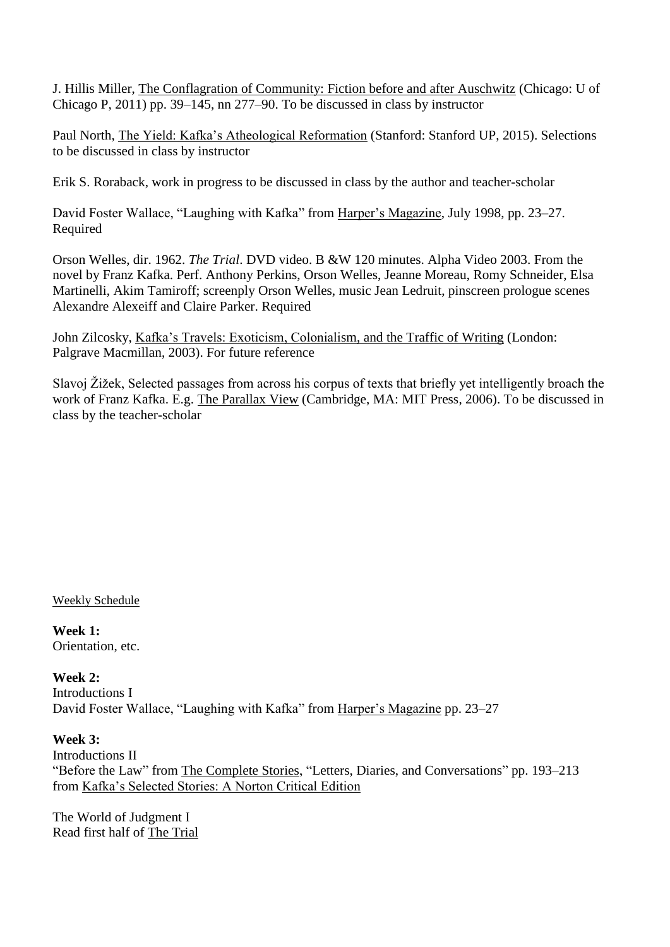J. Hillis Miller, The Conflagration of Community: Fiction before and after Auschwitz (Chicago: U of Chicago P, 2011) pp. 39–145, nn 277–90. To be discussed in class by instructor

Paul North, The Yield: Kafka's Atheological Reformation (Stanford: Stanford UP, 2015). Selections to be discussed in class by instructor

Erik S. Roraback, work in progress to be discussed in class by the author and teacher-scholar

David Foster Wallace, "Laughing with Kafka" from Harper's Magazine, July 1998, pp. 23–27. Required

Orson Welles, dir. 1962. *The Trial*. DVD video. B &W 120 minutes. Alpha Video 2003. From the novel by Franz Kafka. Perf. Anthony Perkins, Orson Welles, Jeanne Moreau, Romy Schneider, Elsa Martinelli, Akim Tamiroff; screenply Orson Welles, music Jean Ledruit, pinscreen prologue scenes Alexandre Alexeiff and Claire Parker. Required

John Zilcosky, Kafka's Travels: Exoticism, Colonialism, and the Traffic of Writing (London: Palgrave Macmillan, 2003). For future reference

Slavoj Žižek, Selected passages from across his corpus of texts that briefly yet intelligently broach the work of Franz Kafka. E.g. The Parallax View (Cambridge, MA: MIT Press, 2006). To be discussed in class by the teacher-scholar

Weekly Schedule

**Week 1:**  Orientation, etc.

**Week 2:** Introductions I David Foster Wallace, "Laughing with Kafka" from Harper's Magazine pp. 23–27

**Week 3:**  Introductions II "Before the Law" from The Complete Stories, "Letters, Diaries, and Conversations" pp. 193–213 from Kafka's Selected Stories: A Norton Critical Edition

The World of Judgment I Read first half of The Trial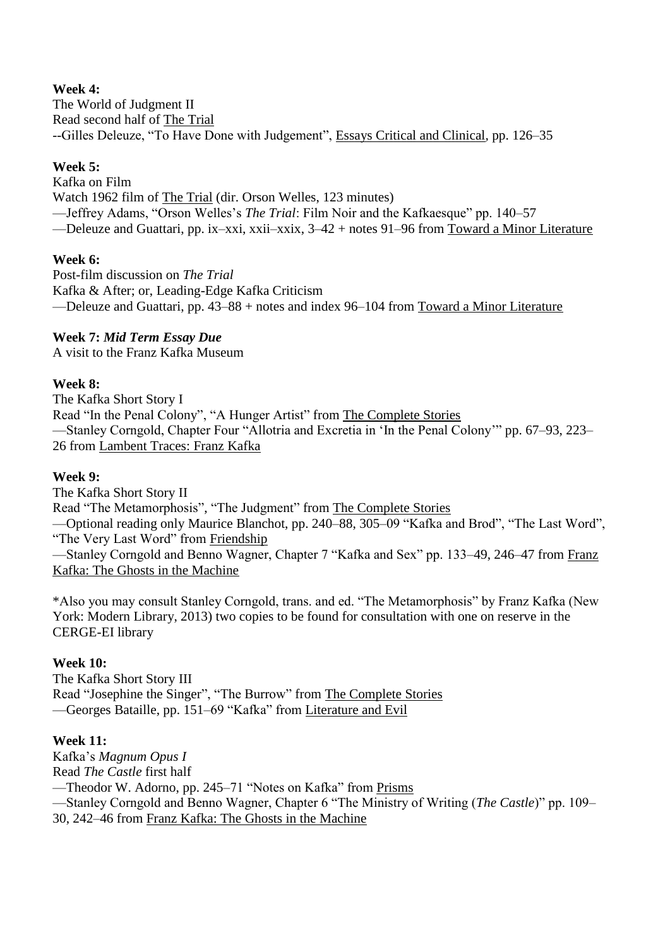# **Week 4:**

The World of Judgment II Read second half of The Trial --Gilles Deleuze, "To Have Done with Judgement", [Essays Critical and Clinical](http://iweb.cerge-ei.cz:81/upces_data/KafkaInPrague/Essays.pdf)*,* pp. 126–35

# **Week 5:**

Kafka on Film Watch 1962 film of The Trial (dir. Orson Welles, 123 minutes) —Jeffrey Adams, "Orson Welles's *The Trial*: Film Noir and the Kafkaesque" pp. 140–57 —Deleuze and Guattari, pp. ix–xxi, xxii–xxix, 3–42 + notes 91–96 from Toward a Minor Literature

# **Week 6:**

Post-film discussion on *The Trial* Kafka & After; or, Leading-Edge Kafka Criticism —Deleuze and Guattari, pp. 43–88 + notes and index 96–104 from Toward a Minor Literature

# **Week 7:** *Mid Term Essay Due*

A visit to the Franz Kafka Museum

# **Week 8:**

The Kafka Short Story I Read "In the Penal Colony", "A Hunger Artist" from The Complete Stories —Stanley Corngold, Chapter Four "Allotria and Excretia in 'In the Penal Colony'" pp. 67–93, 223– 26 from Lambent Traces: Franz Kafka

#### **Week 9:**

The Kafka Short Story II Read "The Metamorphosis", "The Judgment" from The Complete Stories —Optional reading only Maurice Blanchot, pp. 240–88, 305–09 "Kafka and Brod", "The Last Word", "The Very Last Word" from Friendship —Stanley Corngold and Benno Wagner, Chapter 7 "Kafka and Sex" pp. 133–49, 246–47 from Franz Kafka: The Ghosts in the Machine

\*Also you may consult Stanley Corngold, trans. and ed. "The Metamorphosis" by Franz Kafka (New York: Modern Library, 2013) two copies to be found for consultation with one on reserve in the CERGE-EI library

# **Week 10:**

The Kafka Short Story III Read "Josephine the Singer", "The Burrow" from The Complete Stories —Georges Bataille, pp. 151–69 "Kafka" from Literature and Evil

# **Week 11:**

Kafka's *Magnum Opus I* Read *The Castle* first half —Theodor W. Adorno, pp. 245–71 "Notes on Kafka" from Prisms —Stanley Corngold and Benno Wagner, Chapter 6 "The Ministry of Writing (*The Castle*)" pp. 109– 30, 242–46 from Franz Kafka: The Ghosts in the Machine